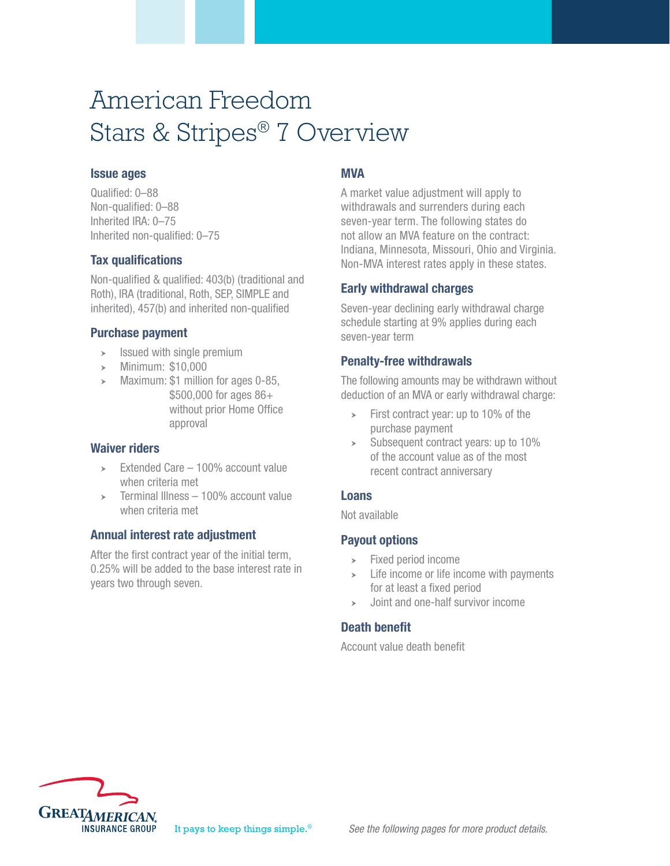# American Freedom Stars & Stripes® 7 Overview

#### Issue ages

Qualified: 0–88 Non-qualified: 0–88 Inherited IRA: 0–75 Inherited non-qualified: 0–75

### Tax qualifications

Non-qualified & qualified: 403(b) (traditional and Roth), IRA (traditional, Roth, SEP, SIMPLE and inherited), 457(b) and inherited non-qualified

### Purchase payment

- $\triangleright$  Issued with single premium
- Minimum: \$10,000
- Maximum: \$1 million for ages 0-85, \$500,000 for ages 86+ without prior Home Office approval

#### Waiver riders

- $\geq$  Extended Care 100% account value when criteria met
- Terminal Illness 100% account value when criteria met

# Annual interest rate adjustment

After the first contract year of the initial term, 0.25% will be added to the base interest rate in years two through seven.

# MVA

A market value adjustment will apply to withdrawals and surrenders during each seven-year term. The following states do not allow an MVA feature on the contract: Indiana, Minnesota, Missouri, Ohio and Virginia. Non-MVA interest rates apply in these states.

### Early withdrawal charges

Seven-year declining early withdrawal charge schedule starting at 9% applies during each seven-year term

### Penalty-free withdrawals

The following amounts may be withdrawn without deduction of an MVA or early withdrawal charge:

- $\triangleright$  First contract year: up to 10% of the purchase payment
- $\geq$  Subsequent contract years: up to 10% of the account value as of the most recent contract anniversary

# Loans

Not available

# Payout options

- $\triangleright$  Fixed period income
- $\geq$  Life income or life income with payments for at least a fixed period
- Joint and one-half survivor income

# Death benefit

Account value death benefit

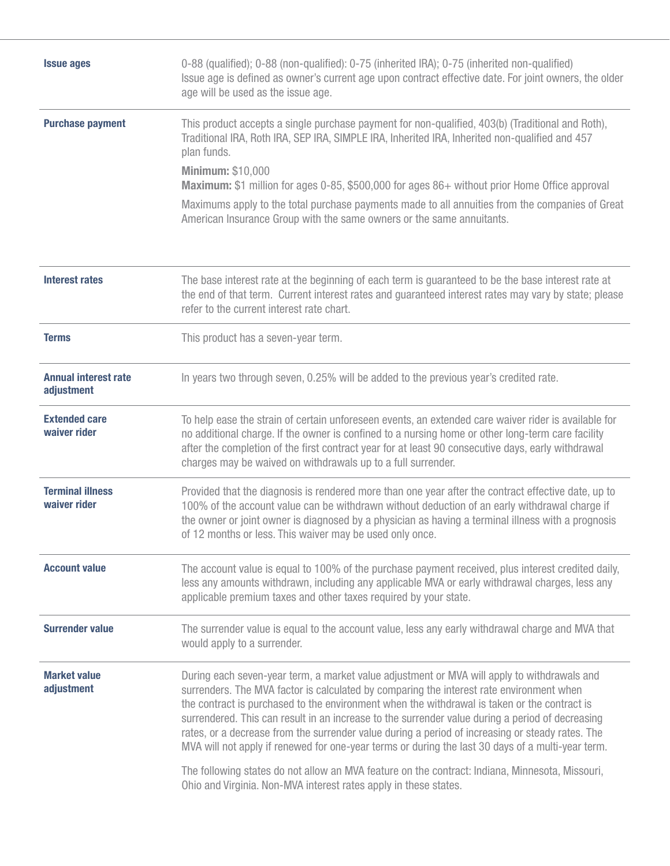| 0-88 (qualified); 0-88 (non-qualified): 0-75 (inherited IRA); 0-75 (inherited non-qualified)<br><b>Issue ages</b><br>Issue age is defined as owner's current age upon contract effective date. For joint owners, the older<br>age will be used as the issue age. |                                                                                                                                                                                                                                                                                                                                                                                                                                                                                                                                                                                                      |  |  |  |  |  |  |
|------------------------------------------------------------------------------------------------------------------------------------------------------------------------------------------------------------------------------------------------------------------|------------------------------------------------------------------------------------------------------------------------------------------------------------------------------------------------------------------------------------------------------------------------------------------------------------------------------------------------------------------------------------------------------------------------------------------------------------------------------------------------------------------------------------------------------------------------------------------------------|--|--|--|--|--|--|
| <b>Purchase payment</b>                                                                                                                                                                                                                                          | This product accepts a single purchase payment for non-qualified, 403(b) (Traditional and Roth),<br>Traditional IRA, Roth IRA, SEP IRA, SIMPLE IRA, Inherited IRA, Inherited non-qualified and 457<br>plan funds.<br><b>Minimum: \$10,000</b><br><b>Maximum:</b> \$1 million for ages 0-85, \$500,000 for ages 86+ without prior Home Office approval                                                                                                                                                                                                                                                |  |  |  |  |  |  |
|                                                                                                                                                                                                                                                                  | Maximums apply to the total purchase payments made to all annuities from the companies of Great<br>American Insurance Group with the same owners or the same annuitants.                                                                                                                                                                                                                                                                                                                                                                                                                             |  |  |  |  |  |  |
| <b>Interest rates</b>                                                                                                                                                                                                                                            | The base interest rate at the beginning of each term is guaranteed to be the base interest rate at<br>the end of that term. Current interest rates and guaranteed interest rates may vary by state; please<br>refer to the current interest rate chart.                                                                                                                                                                                                                                                                                                                                              |  |  |  |  |  |  |
| <b>Terms</b>                                                                                                                                                                                                                                                     | This product has a seven-year term.                                                                                                                                                                                                                                                                                                                                                                                                                                                                                                                                                                  |  |  |  |  |  |  |
| <b>Annual interest rate</b><br>adjustment                                                                                                                                                                                                                        | In years two through seven, 0.25% will be added to the previous year's credited rate.                                                                                                                                                                                                                                                                                                                                                                                                                                                                                                                |  |  |  |  |  |  |
| <b>Extended care</b><br>waiver rider                                                                                                                                                                                                                             | To help ease the strain of certain unforeseen events, an extended care waiver rider is available for<br>no additional charge. If the owner is confined to a nursing home or other long-term care facility<br>after the completion of the first contract year for at least 90 consecutive days, early withdrawal<br>charges may be waived on withdrawals up to a full surrender.                                                                                                                                                                                                                      |  |  |  |  |  |  |
| <b>Terminal illness</b><br>waiver rider                                                                                                                                                                                                                          | Provided that the diagnosis is rendered more than one year after the contract effective date, up to<br>100% of the account value can be withdrawn without deduction of an early withdrawal charge if<br>the owner or joint owner is diagnosed by a physician as having a terminal illness with a prognosis<br>of 12 months or less. This waiver may be used only once.                                                                                                                                                                                                                               |  |  |  |  |  |  |
| <b>Account value</b>                                                                                                                                                                                                                                             | The account value is equal to 100% of the purchase payment received, plus interest credited daily,<br>less any amounts withdrawn, including any applicable MVA or early withdrawal charges, less any<br>applicable premium taxes and other taxes required by your state.                                                                                                                                                                                                                                                                                                                             |  |  |  |  |  |  |
| <b>Surrender value</b>                                                                                                                                                                                                                                           | The surrender value is equal to the account value, less any early withdrawal charge and MVA that<br>would apply to a surrender.                                                                                                                                                                                                                                                                                                                                                                                                                                                                      |  |  |  |  |  |  |
| <b>Market value</b><br>adjustment                                                                                                                                                                                                                                | During each seven-year term, a market value adjustment or MVA will apply to withdrawals and<br>surrenders. The MVA factor is calculated by comparing the interest rate environment when<br>the contract is purchased to the environment when the withdrawal is taken or the contract is<br>surrendered. This can result in an increase to the surrender value during a period of decreasing<br>rates, or a decrease from the surrender value during a period of increasing or steady rates. The<br>MVA will not apply if renewed for one-year terms or during the last 30 days of a multi-year term. |  |  |  |  |  |  |
|                                                                                                                                                                                                                                                                  | The following states do not allow an MVA feature on the contract: Indiana, Minnesota, Missouri,<br>Ohio and Virginia. Non-MVA interest rates apply in these states.                                                                                                                                                                                                                                                                                                                                                                                                                                  |  |  |  |  |  |  |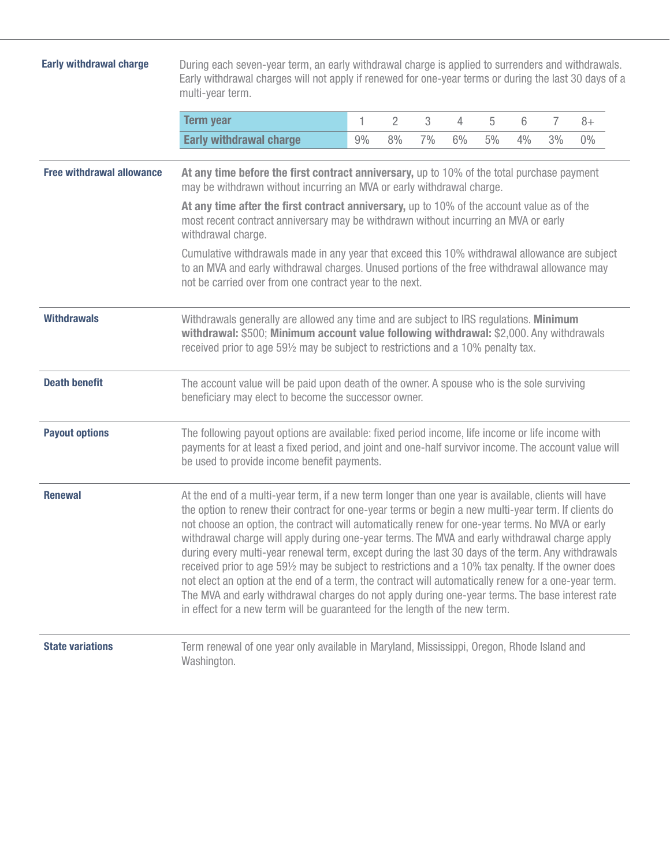| <b>Early withdrawal charge</b>   | During each seven-year term, an early withdrawal charge is applied to surrenders and withdrawals.<br>Early withdrawal charges will not apply if renewed for one-year terms or during the last 30 days of a<br>multi-year term.                                                                                                                                                                                                                                                                                                                                                                                                                                                                                                                                                                                                                                                                                       |    |                |    |    |    |    |                |       |  |
|----------------------------------|----------------------------------------------------------------------------------------------------------------------------------------------------------------------------------------------------------------------------------------------------------------------------------------------------------------------------------------------------------------------------------------------------------------------------------------------------------------------------------------------------------------------------------------------------------------------------------------------------------------------------------------------------------------------------------------------------------------------------------------------------------------------------------------------------------------------------------------------------------------------------------------------------------------------|----|----------------|----|----|----|----|----------------|-------|--|
|                                  | <b>Term year</b>                                                                                                                                                                                                                                                                                                                                                                                                                                                                                                                                                                                                                                                                                                                                                                                                                                                                                                     | 1  | $\overline{2}$ | 3  | 4  | 5  | 6  | $\overline{7}$ | $8+$  |  |
|                                  | <b>Early withdrawal charge</b>                                                                                                                                                                                                                                                                                                                                                                                                                                                                                                                                                                                                                                                                                                                                                                                                                                                                                       | 9% | 8%             | 7% | 6% | 5% | 4% | 3%             | $0\%$ |  |
| <b>Free withdrawal allowance</b> | At any time before the first contract anniversary, up to 10% of the total purchase payment<br>may be withdrawn without incurring an MVA or early withdrawal charge.                                                                                                                                                                                                                                                                                                                                                                                                                                                                                                                                                                                                                                                                                                                                                  |    |                |    |    |    |    |                |       |  |
|                                  | At any time after the first contract anniversary, up to 10% of the account value as of the<br>most recent contract anniversary may be withdrawn without incurring an MVA or early<br>withdrawal charge.                                                                                                                                                                                                                                                                                                                                                                                                                                                                                                                                                                                                                                                                                                              |    |                |    |    |    |    |                |       |  |
|                                  | Cumulative withdrawals made in any year that exceed this 10% withdrawal allowance are subject<br>to an MVA and early withdrawal charges. Unused portions of the free withdrawal allowance may<br>not be carried over from one contract year to the next.                                                                                                                                                                                                                                                                                                                                                                                                                                                                                                                                                                                                                                                             |    |                |    |    |    |    |                |       |  |
| <b>Withdrawals</b>               | Withdrawals generally are allowed any time and are subject to IRS regulations. Minimum<br>withdrawal: \$500; Minimum account value following withdrawal: \$2,000. Any withdrawals<br>received prior to age 591/2 may be subject to restrictions and a 10% penalty tax.                                                                                                                                                                                                                                                                                                                                                                                                                                                                                                                                                                                                                                               |    |                |    |    |    |    |                |       |  |
| <b>Death benefit</b>             | The account value will be paid upon death of the owner. A spouse who is the sole surviving<br>beneficiary may elect to become the successor owner.                                                                                                                                                                                                                                                                                                                                                                                                                                                                                                                                                                                                                                                                                                                                                                   |    |                |    |    |    |    |                |       |  |
| <b>Payout options</b>            | The following payout options are available: fixed period income, life income or life income with<br>payments for at least a fixed period, and joint and one-half survivor income. The account value will<br>be used to provide income benefit payments.                                                                                                                                                                                                                                                                                                                                                                                                                                                                                                                                                                                                                                                              |    |                |    |    |    |    |                |       |  |
| <b>Renewal</b>                   | At the end of a multi-year term, if a new term longer than one year is available, clients will have<br>the option to renew their contract for one-year terms or begin a new multi-year term. If clients do<br>not choose an option, the contract will automatically renew for one-year terms. No MVA or early<br>withdrawal charge will apply during one-year terms. The MVA and early withdrawal charge apply<br>during every multi-year renewal term, except during the last 30 days of the term. Any withdrawals<br>received prior to age 591/2 may be subject to restrictions and a 10% tax penalty. If the owner does<br>not elect an option at the end of a term, the contract will automatically renew for a one-year term.<br>The MVA and early withdrawal charges do not apply during one-year terms. The base interest rate<br>in effect for a new term will be guaranteed for the length of the new term. |    |                |    |    |    |    |                |       |  |
| <b>State variations</b>          | Term renewal of one year only available in Maryland, Mississippi, Oregon, Rhode Island and<br>Washington.                                                                                                                                                                                                                                                                                                                                                                                                                                                                                                                                                                                                                                                                                                                                                                                                            |    |                |    |    |    |    |                |       |  |